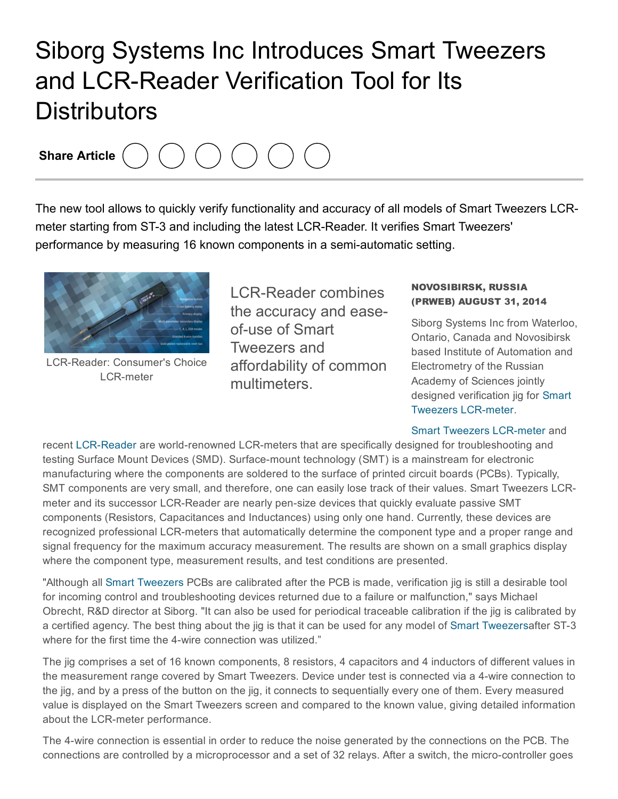## Siborg Systems Inc Introduces Smart Tweezers and LCR-Reader Verification Tool for Its **Distributors**

Share Article

The new tool allows to quickly verify functionality and accuracy of all models of Smart Tweezers LCRmeter starting from ST-3 and including the latest LCR-Reader. It verifies Smart Tweezers' performance by measuring 16 known components in a semi-automatic setting.



LCR-Reader: Consumer's Choice LCR-meter

**LCR-Reader combines** the accuracy and easeof-use of Smart Tweezers and affordability of common multimeters.

## NOVOSIBIRSK, RUSSIA (PRWEB) AUGUST 31, 2014

Siborg Systems Inc from Waterloo, Ontario, Canada and Novosibirsk based Institute of Automation and Electrometry of the Russian Academy of Sciences jointly designed verification jig for Smart Tweezers LCR-meter.

## Smart Tweezers LCR-meter and

recent LCR-Reader are world-renowned LCR-meters that are specifically designed for troubleshooting and testing Surface Mount Devices (SMD). Surface-mount technology (SMT) is a mainstream for electronic manufacturing where the components are soldered to the surface of printed circuit boards (PCBs). Typically, SMT components are very small, and therefore, one can easily lose track of their values. Smart Tweezers LCRmeter and its successor LCR-Reader are nearly pen-size devices that quickly evaluate passive SMT components (Resistors, Capacitances and Inductances) using only one hand. Currently, these devices are recognized professional LCR-meters that automatically determine the component type and a proper range and signal frequency for the maximum accuracy measurement. The results are shown on a small graphics display where the component type, measurement results, and test conditions are presented.

"Although all Smart [Tweezers](http://www.prweb.net/Redirect.aspx?id=aHR0cDovL3d3dy5zbWFydHR3ZWV6ZXJzLm9yZw==) PCBs are calibrated after the PCB is made, verification jig is still a desirable tool for incoming control and troubleshooting devices returned due to a failure or malfunction," says Michael Obrecht, R&D director at Siborg. "It can also be used for periodical traceable calibration if the jig is calibrated by a certified agency. The best thing about the jig is that it can be used for any model of Smart [Tweezersa](http://www.prweb.net/Redirect.aspx?id=aHR0cDovL3d3dy5zbWFydHR3ZWV6ZXJzLmluZm8=)fter ST-3 where for the first time the 4-wire connection was utilized."

The jig comprises a set of 16 known components, 8 resistors, 4 capacitors and 4 inductors of different values in the measurement range covered by Smart Tweezers. Device under test is connected via a 4-wire connection to the jig, and by a press of the button on the jig, it connects to sequentially every one of them. Every measured value is displayed on the Smart Tweezers screen and compared to the known value, giving detailed information about the LCR-meter performance.

The 4-wire connection is essential in order to reduce the noise generated by the connections on the PCB. The connections are controlled by a microprocessor and a set of 32 relays. After a switch, the micro-controller goes